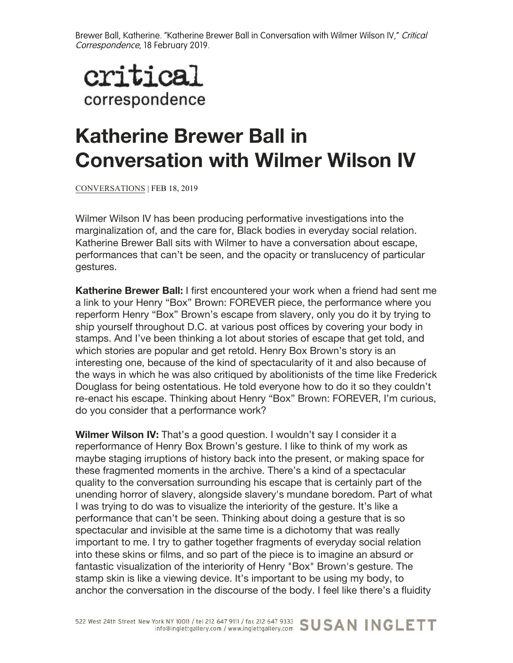

## **Katherine Brewer Ball in Conversation with Wilmer Wilson IV**

CONVERSATIONS | FEB 18, 2019

Wilmer Wilson IV has been producing performative investigations into the marginalization of, and the care for, Black bodies in everyday social relation. Katherine Brewer Ball sits with Wilmer to have a conversation about escape, performances that can't be seen, and the opacity or translucency of particular gestures.

**Katherine Brewer Ball:** I first encountered your work when a friend had sent me a link to your Henry "Box" Brown: FOREVER piece, the performance where you reperform Henry "Box" Brown's escape from slavery, only you do it by trying to ship yourself throughout D.C. at various post offices by covering your body in stamps. And I've been thinking a lot about stories of escape that get told, and which stories are popular and get retold. Henry Box Brown's story is an interesting one, because of the kind of spectacularity of it and also because of the ways in which he was also critiqued by abolitionists of the time like Frederick Douglass for being ostentatious. He told everyone how to do it so they couldn't re-enact his escape. Thinking about Henry "Box" Brown: FOREVER, I'm curious, do you consider that a performance work?

**Wilmer Wilson IV:** That's a good question. I wouldn't say I consider it a reperformance of Henry Box Brown's gesture. I like to think of my work as maybe staging irruptions of history back into the present, or making space for these fragmented moments in the archive. There's a kind of a spectacular quality to the conversation surrounding his escape that is certainly part of the unending horror of slavery, alongside slavery's mundane boredom. Part of what I was trying to do was to visualize the interiority of the gesture. It's like a performance that can't be seen. Thinking about doing a gesture that is so spectacular and invisible at the same time is a dichotomy that was really important to me. I try to gather together fragments of everyday social relation into these skins or films, and so part of the piece is to imagine an absurd or fantastic visualization of the interiority of Henry "Box" Brown's gesture. The stamp skin is like a viewing device. It's important to be using my body, to anchor the conversation in the discourse of the body. I feel like there's a fluidity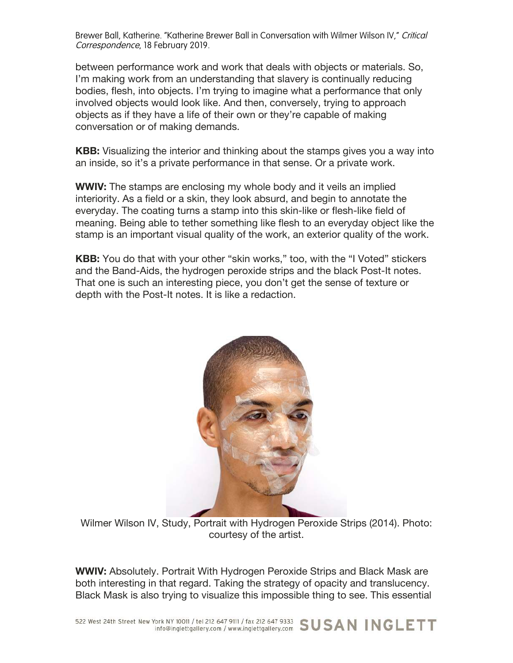between performance work and work that deals with objects or materials. So, I'm making work from an understanding that slavery is continually reducing bodies, flesh, into objects. I'm trying to imagine what a performance that only involved objects would look like. And then, conversely, trying to approach objects as if they have a life of their own or they're capable of making conversation or of making demands.

**KBB:** Visualizing the interior and thinking about the stamps gives you a way into an inside, so it's a private performance in that sense. Or a private work.

**WWIV:** The stamps are enclosing my whole body and it veils an implied interiority. As a field or a skin, they look absurd, and begin to annotate the everyday. The coating turns a stamp into this skin-like or flesh-like field of meaning. Being able to tether something like flesh to an everyday object like the stamp is an important visual quality of the work, an exterior quality of the work.

**KBB:** You do that with your other "skin works," too, with the "I Voted" stickers and the Band-Aids, the hydrogen peroxide strips and the black Post-It notes. That one is such an interesting piece, you don't get the sense of texture or depth with the Post-It notes. It is like a redaction.



Wilmer Wilson IV, Study, Portrait with Hydrogen Peroxide Strips (2014). Photo: courtesy of the artist.

**WWIV:** Absolutely. Portrait With Hydrogen Peroxide Strips and Black Mask are both interesting in that regard. Taking the strategy of opacity and translucency. Black Mask is also trying to visualize this impossible thing to see. This essential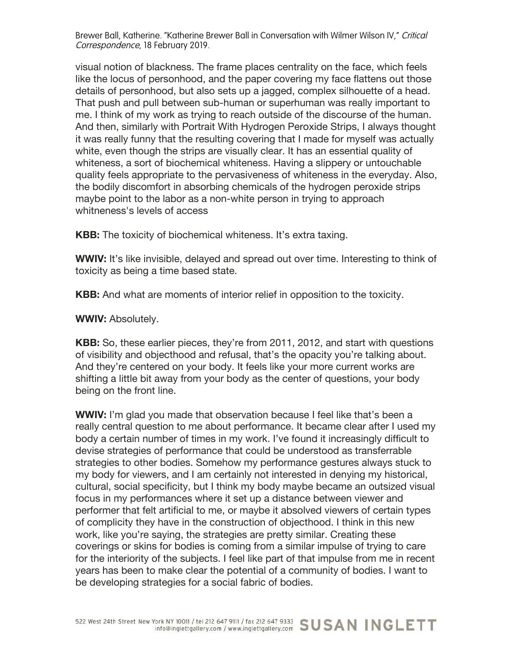visual notion of blackness. The frame places centrality on the face, which feels like the locus of personhood, and the paper covering my face flattens out those details of personhood, but also sets up a jagged, complex silhouette of a head. That push and pull between sub-human or superhuman was really important to me. I think of my work as trying to reach outside of the discourse of the human. And then, similarly with Portrait With Hydrogen Peroxide Strips, I always thought it was really funny that the resulting covering that I made for myself was actually white, even though the strips are visually clear. It has an essential quality of whiteness, a sort of biochemical whiteness. Having a slippery or untouchable quality feels appropriate to the pervasiveness of whiteness in the everyday. Also, the bodily discomfort in absorbing chemicals of the hydrogen peroxide strips maybe point to the labor as a non-white person in trying to approach whitneness's levels of access

**KBB:** The toxicity of biochemical whiteness. It's extra taxing.

**WWIV:** It's like invisible, delayed and spread out over time. Interesting to think of toxicity as being a time based state.

**KBB:** And what are moments of interior relief in opposition to the toxicity.

**WWIV:** Absolutely.

**KBB:** So, these earlier pieces, they're from 2011, 2012, and start with questions of visibility and objecthood and refusal, that's the opacity you're talking about. And they're centered on your body. It feels like your more current works are shifting a little bit away from your body as the center of questions, your body being on the front line.

**WWIV:** I'm glad you made that observation because I feel like that's been a really central question to me about performance. It became clear after I used my body a certain number of times in my work. I've found it increasingly difficult to devise strategies of performance that could be understood as transferrable strategies to other bodies. Somehow my performance gestures always stuck to my body for viewers, and I am certainly not interested in denying my historical, cultural, social specificity, but I think my body maybe became an outsized visual focus in my performances where it set up a distance between viewer and performer that felt artificial to me, or maybe it absolved viewers of certain types of complicity they have in the construction of objecthood. I think in this new work, like you're saying, the strategies are pretty similar. Creating these coverings or skins for bodies is coming from a similar impulse of trying to care for the interiority of the subjects. I feel like part of that impulse from me in recent years has been to make clear the potential of a community of bodies. I want to be developing strategies for a social fabric of bodies.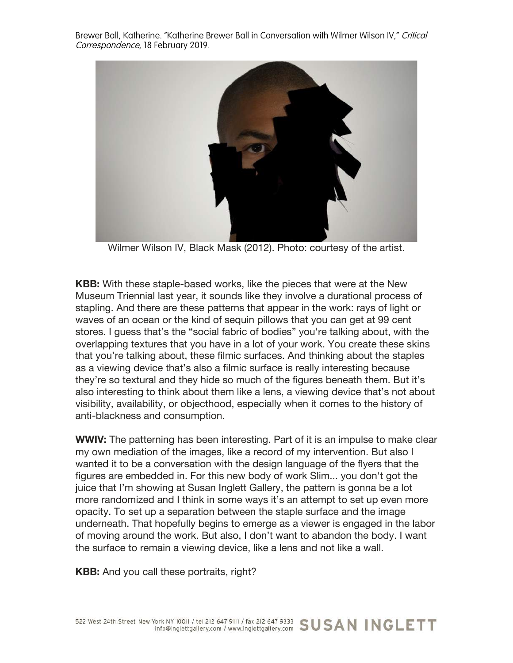

Wilmer Wilson IV, Black Mask (2012). Photo: courtesy of the artist.

**KBB:** With these staple-based works, like the pieces that were at the New Museum Triennial last year, it sounds like they involve a durational process of stapling. And there are these patterns that appear in the work: rays of light or waves of an ocean or the kind of sequin pillows that you can get at 99 cent stores. I guess that's the "social fabric of bodies" you're talking about, with the overlapping textures that you have in a lot of your work. You create these skins that you're talking about, these filmic surfaces. And thinking about the staples as a viewing device that's also a filmic surface is really interesting because they're so textural and they hide so much of the figures beneath them. But it's also interesting to think about them like a lens, a viewing device that's not about visibility, availability, or objecthood, especially when it comes to the history of anti-blackness and consumption.

**WWIV:** The patterning has been interesting. Part of it is an impulse to make clear my own mediation of the images, like a record of my intervention. But also I wanted it to be a conversation with the design language of the flyers that the figures are embedded in. For this new body of work Slim... you don't got the juice that I'm showing at Susan Inglett Gallery, the pattern is gonna be a lot more randomized and I think in some ways it's an attempt to set up even more opacity. To set up a separation between the staple surface and the image underneath. That hopefully begins to emerge as a viewer is engaged in the labor of moving around the work. But also, I don't want to abandon the body. I want the surface to remain a viewing device, like a lens and not like a wall.

**KBB:** And you call these portraits, right?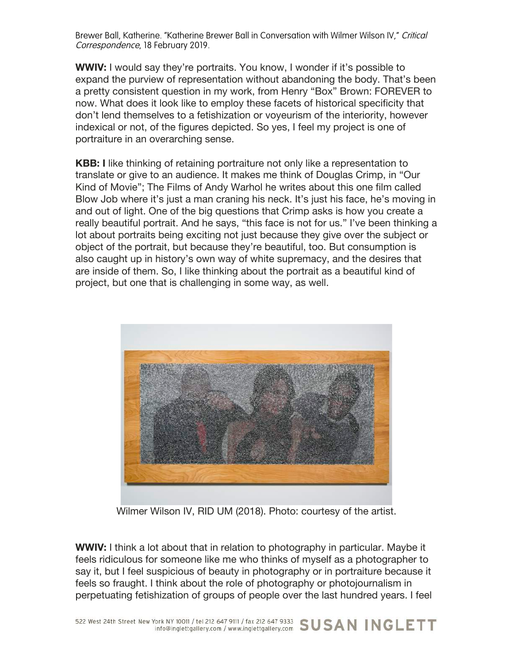**WWIV:** I would say they're portraits. You know, I wonder if it's possible to expand the purview of representation without abandoning the body. That's been a pretty consistent question in my work, from Henry "Box" Brown: FOREVER to now. What does it look like to employ these facets of historical specificity that don't lend themselves to a fetishization or voyeurism of the interiority, however indexical or not, of the figures depicted. So yes, I feel my project is one of portraiture in an overarching sense.

**KBB: I** like thinking of retaining portraiture not only like a representation to translate or give to an audience. It makes me think of Douglas Crimp, in "Our Kind of Movie"; The Films of Andy Warhol he writes about this one film called Blow Job where it's just a man craning his neck. It's just his face, he's moving in and out of light. One of the big questions that Crimp asks is how you create a really beautiful portrait. And he says, "this face is not for us." I've been thinking a lot about portraits being exciting not just because they give over the subject or object of the portrait, but because they're beautiful, too. But consumption is also caught up in history's own way of white supremacy, and the desires that are inside of them. So, I like thinking about the portrait as a beautiful kind of project, but one that is challenging in some way, as well.



Wilmer Wilson IV, RID UM (2018). Photo: courtesy of the artist.

**WWIV:** I think a lot about that in relation to photography in particular. Maybe it feels ridiculous for someone like me who thinks of myself as a photographer to say it, but I feel suspicious of beauty in photography or in portraiture because it feels so fraught. I think about the role of photography or photojournalism in perpetuating fetishization of groups of people over the last hundred years. I feel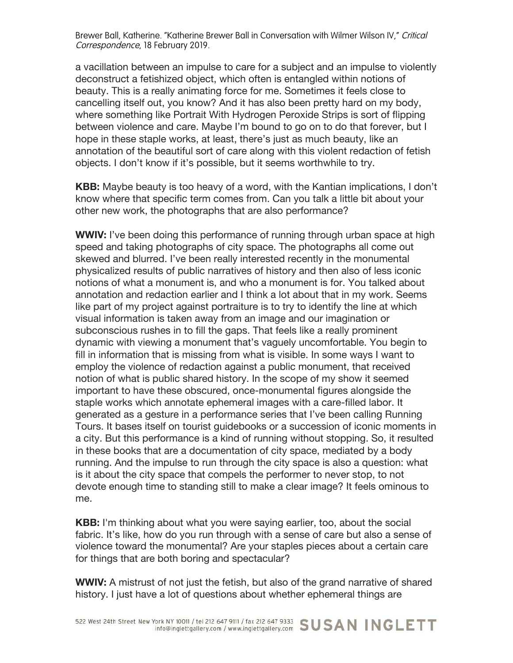a vacillation between an impulse to care for a subject and an impulse to violently deconstruct a fetishized object, which often is entangled within notions of beauty. This is a really animating force for me. Sometimes it feels close to cancelling itself out, you know? And it has also been pretty hard on my body, where something like Portrait With Hydrogen Peroxide Strips is sort of flipping between violence and care. Maybe I'm bound to go on to do that forever, but I hope in these staple works, at least, there's just as much beauty, like an annotation of the beautiful sort of care along with this violent redaction of fetish objects. I don't know if it's possible, but it seems worthwhile to try.

**KBB:** Maybe beauty is too heavy of a word, with the Kantian implications, I don't know where that specific term comes from. Can you talk a little bit about your other new work, the photographs that are also performance?

**WWIV:** I've been doing this performance of running through urban space at high speed and taking photographs of city space. The photographs all come out skewed and blurred. I've been really interested recently in the monumental physicalized results of public narratives of history and then also of less iconic notions of what a monument is, and who a monument is for. You talked about annotation and redaction earlier and I think a lot about that in my work. Seems like part of my project against portraiture is to try to identify the line at which visual information is taken away from an image and our imagination or subconscious rushes in to fill the gaps. That feels like a really prominent dynamic with viewing a monument that's vaguely uncomfortable. You begin to fill in information that is missing from what is visible. In some ways I want to employ the violence of redaction against a public monument, that received notion of what is public shared history. In the scope of my show it seemed important to have these obscured, once-monumental figures alongside the staple works which annotate ephemeral images with a care-filled labor. It generated as a gesture in a performance series that I've been calling Running Tours. It bases itself on tourist guidebooks or a succession of iconic moments in a city. But this performance is a kind of running without stopping. So, it resulted in these books that are a documentation of city space, mediated by a body running. And the impulse to run through the city space is also a question: what is it about the city space that compels the performer to never stop, to not devote enough time to standing still to make a clear image? It feels ominous to me.

**KBB:** I'm thinking about what you were saying earlier, too, about the social fabric. It's like, how do you run through with a sense of care but also a sense of violence toward the monumental? Are your staples pieces about a certain care for things that are both boring and spectacular?

**WWIV:** A mistrust of not just the fetish, but also of the grand narrative of shared history. I just have a lot of questions about whether ephemeral things are